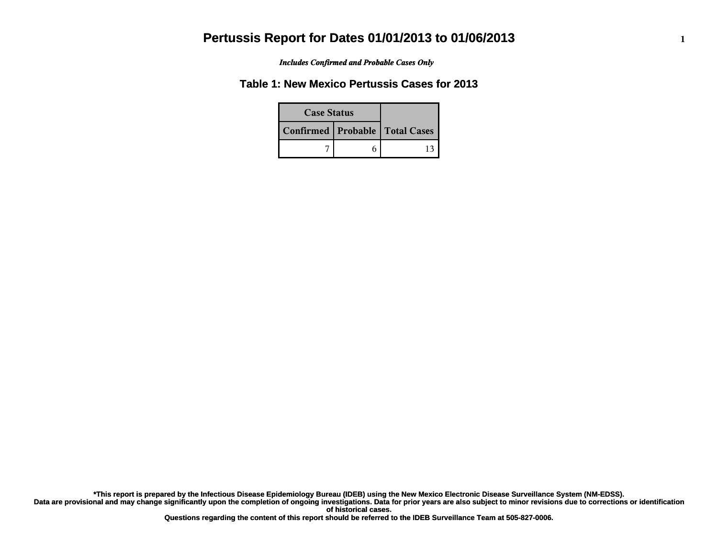*Includes Confirmed and Probable Cases Only*

### **Table 1: New Mexico Pertussis Cases for 2013**

| <b>Case Status</b> |  |                                    |
|--------------------|--|------------------------------------|
|                    |  | Confirmed   Probable   Total Cases |
|                    |  |                                    |

**Data are provisional and may change significantly upon the completion of ongoing investigations. Data for prior years are also subject to minor revisions due to corrections or identification of historical cases. \*This report is prepared by the Infectious Disease Epidemiology Bureau (IDEB) using the New Mexico Electronic Disease Surveillance System (NM-EDSS).**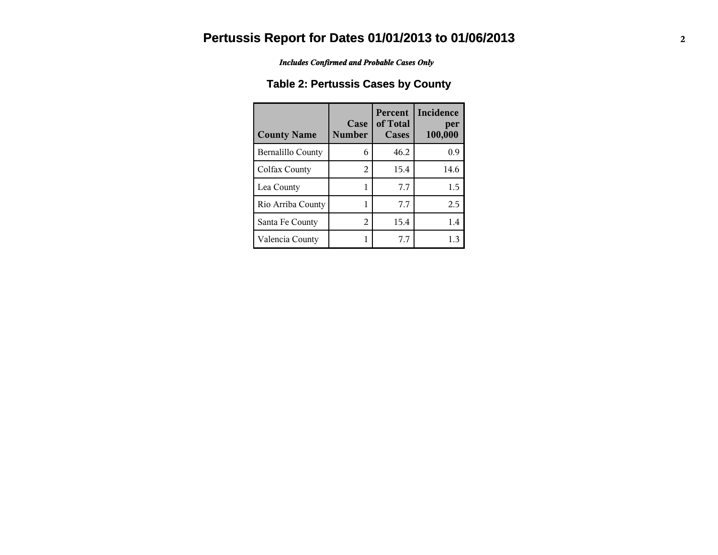*Includes Confirmed and Probable Cases Only*

### **Table 2: Pertussis Cases by County**

| <b>County Name</b>       | Case<br><b>Number</b> | <b>Percent</b><br>of Total<br>Cases | <b>Incidence</b><br>per<br>100,000 |
|--------------------------|-----------------------|-------------------------------------|------------------------------------|
| <b>Bernalillo County</b> | 6                     | 46.2                                | 0.9                                |
| Colfax County            | 2                     | 15.4                                | 14.6                               |
| Lea County               |                       | 7.7                                 | 1.5                                |
| Rio Arriba County        |                       | 7.7                                 | 2.5                                |
| Santa Fe County          | 2                     | 15.4                                | 1.4                                |
| Valencia County          |                       | 7.7                                 | 1.3                                |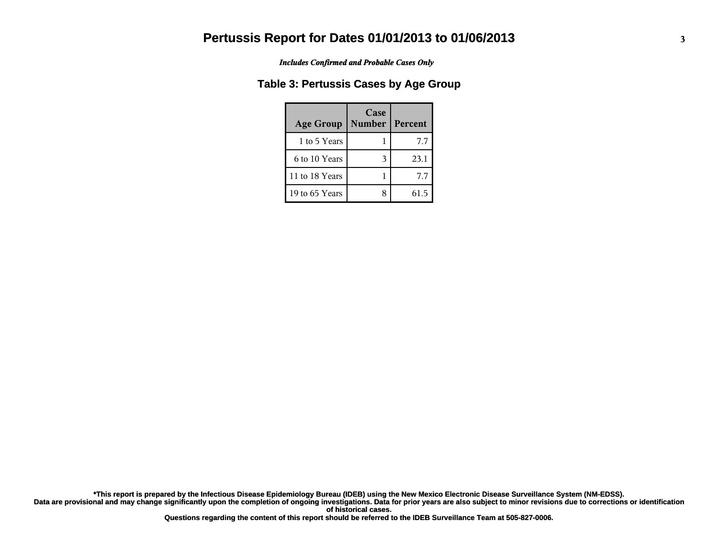*Includes Confirmed and Probable Cases Only*

### **Table 3: Pertussis Cases by Age Group**

| <b>Age Group</b> | Case<br><b>Number</b> | Percent |
|------------------|-----------------------|---------|
| 1 to 5 Years     |                       | 7.7     |
| 6 to 10 Years    |                       | 23.1    |
| 11 to 18 Years   |                       | 7.7     |
| 19 to 65 Years   |                       | 61 5    |

**Data are provisional and may change significantly upon the completion of ongoing investigations. Data for prior years are also subject to minor revisions due to corrections or identification of historical cases. \*This report is prepared by the Infectious Disease Epidemiology Bureau (IDEB) using the New Mexico Electronic Disease Surveillance System (NM-EDSS).**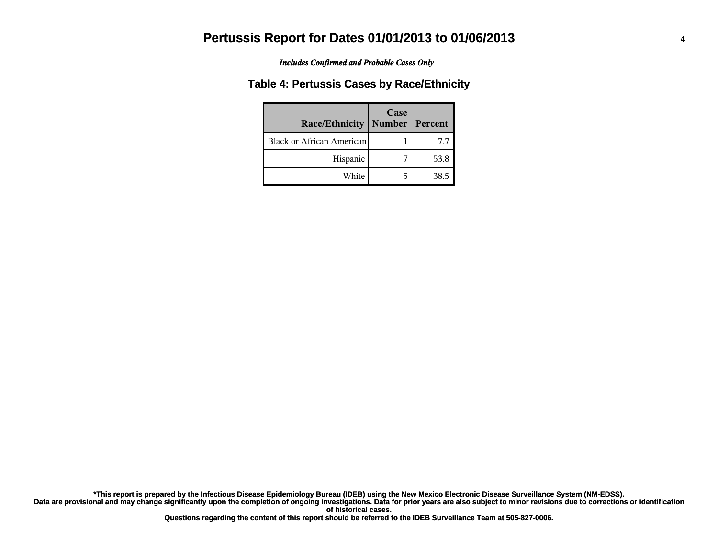#### *Includes Confirmed and Probable Cases Only*

#### **Table 4: Pertussis Cases by Race/Ethnicity**

| Race/Ethnicity                   | Case<br>Number   Percent |      |
|----------------------------------|--------------------------|------|
| <b>Black or African American</b> |                          | 7.7  |
| Hispanic                         |                          | 53.8 |
| White                            | 5                        | 38.5 |

**Data are provisional and may change significantly upon the completion of ongoing investigations. Data for prior years are also subject to minor revisions due to corrections or identification of historical cases. \*This report is prepared by the Infectious Disease Epidemiology Bureau (IDEB) using the New Mexico Electronic Disease Surveillance System (NM-EDSS).**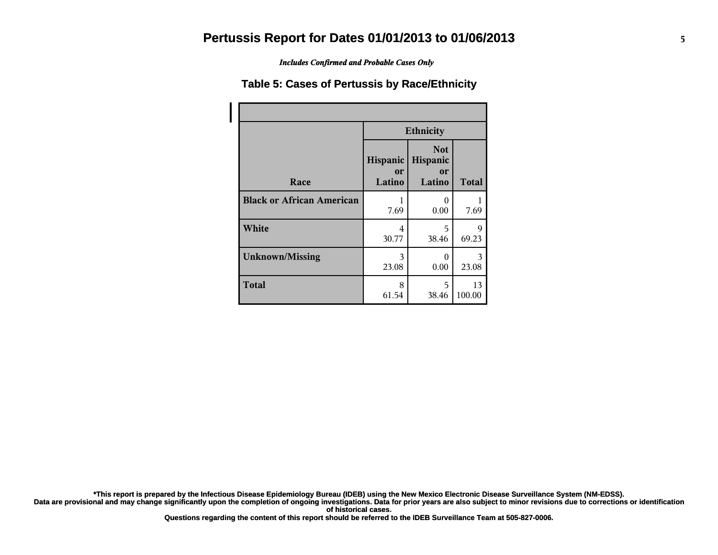*Includes Confirmed and Probable Cases Only*

#### **Table 5: Cases of Pertussis by Race/Ethnicity**

|                                  | <b>Ethnicity</b>                       |                                               |              |
|----------------------------------|----------------------------------------|-----------------------------------------------|--------------|
| Race                             | <b>Hispanic</b><br><b>or</b><br>Latino | <b>Not</b><br>Hispanic<br><b>or</b><br>Latino | <b>Total</b> |
| <b>Black or African American</b> | 7.69                                   | 0<br>0.00                                     | 7.69         |
| White                            | 4<br>30.77                             | 5<br>38.46                                    | Q<br>69.23   |
| <b>Unknown/Missing</b>           | 3<br>23.08                             | O<br>0.00                                     | 3<br>23.08   |
| <b>Total</b>                     | 8<br>61.54                             | 5<br>38.46                                    | 13<br>100.00 |

**\*This report is prepared by the Infectious Disease Epidemiology Bureau (IDEB) using the New Mexico Electronic Disease Surveillance System (NM-EDSS).**

**Data are provisional and may change significantly upon the completion of ongoing investigations. Data for prior years are also subject to minor revisions due to corrections or identification of historical cases.**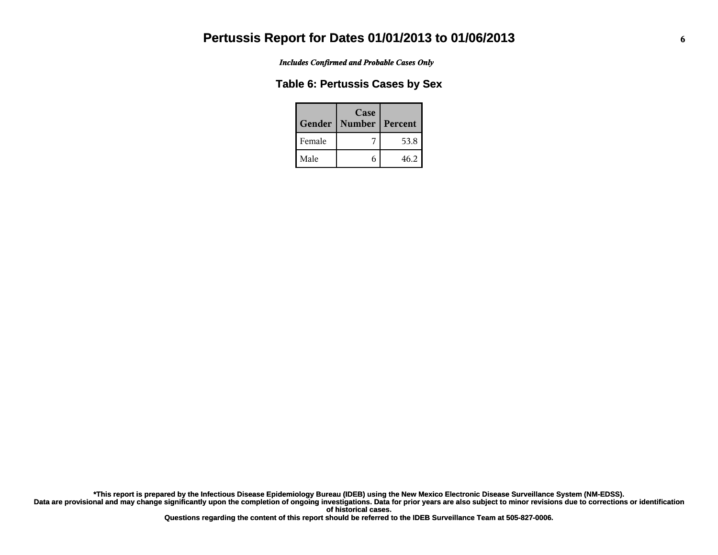*Includes Confirmed and Probable Cases Only*

#### **Table 6: Pertussis Cases by Sex**

|        | Case<br>Gender   Number | Percent |
|--------|-------------------------|---------|
| Female |                         | 53.8    |
| Male   |                         | 46.2    |

**Data are provisional and may change significantly upon the completion of ongoing investigations. Data for prior years are also subject to minor revisions due to corrections or identification of historical cases. \*This report is prepared by the Infectious Disease Epidemiology Bureau (IDEB) using the New Mexico Electronic Disease Surveillance System (NM-EDSS).**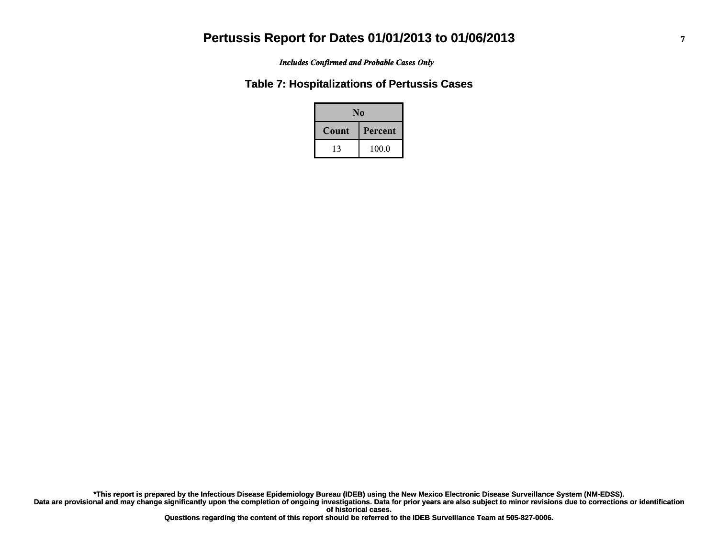*Includes Confirmed and Probable Cases Only*

#### **Table 7: Hospitalizations of Pertussis Cases**

| N <sub>0</sub> |                |  |
|----------------|----------------|--|
| Count          | <b>Percent</b> |  |
| 13             | 100.0          |  |

**Data are provisional and may change significantly upon the completion of ongoing investigations. Data for prior years are also subject to minor revisions due to corrections or identification of historical cases. \*This report is prepared by the Infectious Disease Epidemiology Bureau (IDEB) using the New Mexico Electronic Disease Surveillance System (NM-EDSS).**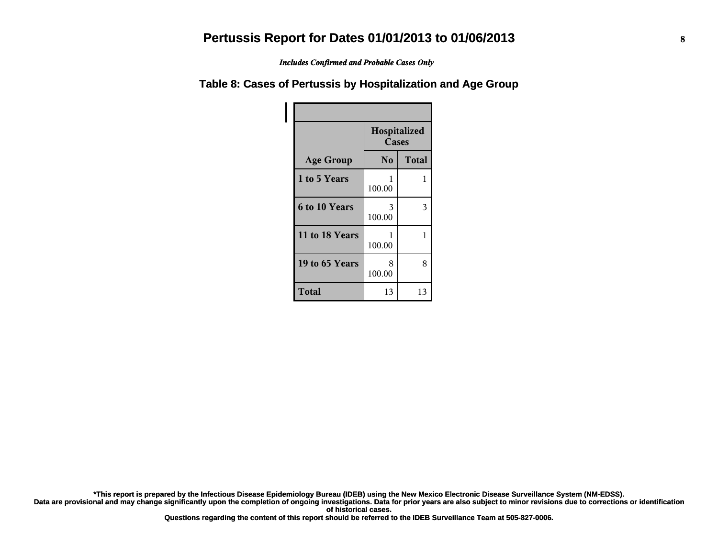*Includes Confirmed and Probable Cases Only*

#### **Table 8: Cases of Pertussis by Hospitalization and Age Group**

|                      | Hospitalized<br>Cases |              |
|----------------------|-----------------------|--------------|
| <b>Age Group</b>     | No                    | <b>Total</b> |
| 1 to 5 Years         | 1<br>100.00           | 1            |
| <b>6 to 10 Years</b> | 3<br>100.00           | 3            |
| 11 to 18 Years       | 1<br>100.00           | 1            |
| 19 to 65 Years       | 8<br>100.00           | 8            |
| <b>Total</b>         | 13                    | 13           |

**\*This report is prepared by the Infectious Disease Epidemiology Bureau (IDEB) using the New Mexico Electronic Disease Surveillance System (NM-EDSS).**

**Data are provisional and may change significantly upon the completion of ongoing investigations. Data for prior years are also subject to minor revisions due to corrections or identification of historical cases.**